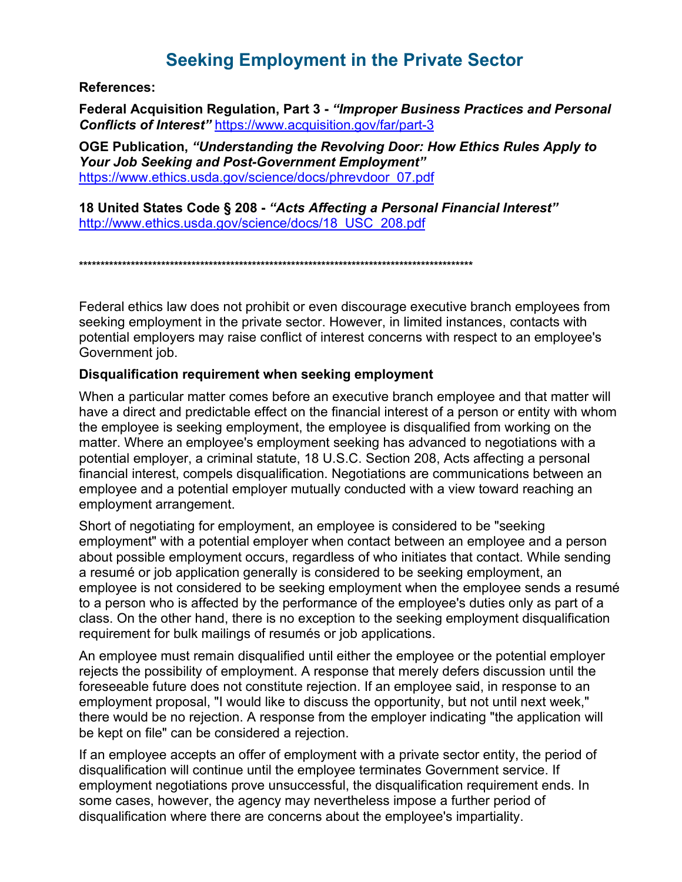# **Seeking Employment in the Private Sector**

**References:** 

Federal Acquisition Regulation, Part 3 - "Improper Business Practices and Personal Conflicts of Interest" https://www.acquisition.gov/far/part-3

OGE Publication, "Understanding the Revolving Door: How Ethics Rules Apply to **Your Job Seeking and Post-Government Employment"** https://www.ethics.usda.gov/science/docs/phrevdoor 07.pdf

18 United States Code § 208 - "Acts Affecting a Personal Financial Interest" http://www.ethics.usda.gov/science/docs/18 USC 208.pdf

Federal ethics law does not prohibit or even discourage executive branch employees from seeking employment in the private sector. However, in limited instances, contacts with potential employers may raise conflict of interest concerns with respect to an employee's Government job.

### Disqualification requirement when seeking employment

When a particular matter comes before an executive branch employee and that matter will have a direct and predictable effect on the financial interest of a person or entity with whom the employee is seeking employment, the employee is disqualified from working on the matter. Where an employee's employment seeking has advanced to negotiations with a potential employer, a criminal statute, 18 U.S.C. Section 208, Acts affecting a personal financial interest, compels disqualification. Negotiations are communications between an employee and a potential employer mutually conducted with a view toward reaching an employment arrangement.

Short of negotiating for employment, an employee is considered to be "seeking employment" with a potential employer when contact between an employee and a person about possible employment occurs, regardless of who initiates that contact. While sending a resumé or job application generally is considered to be seeking employment, an employee is not considered to be seeking employment when the employee sends a resumé to a person who is affected by the performance of the employee's duties only as part of a class. On the other hand, there is no exception to the seeking employment disqualification requirement for bulk mailings of resumés or job applications.

An employee must remain disqualified until either the employee or the potential employer rejects the possibility of employment. A response that merely defers discussion until the foreseeable future does not constitute rejection. If an employee said, in response to an employment proposal, "I would like to discuss the opportunity, but not until next week," there would be no rejection. A response from the employer indicating "the application will be kept on file" can be considered a rejection.

If an employee accepts an offer of employment with a private sector entity, the period of disqualification will continue until the employee terminates Government service. If employment negotiations prove unsuccessful, the disqualification requirement ends. In some cases, however, the agency may nevertheless impose a further period of disqualification where there are concerns about the emplovee's impartiality.